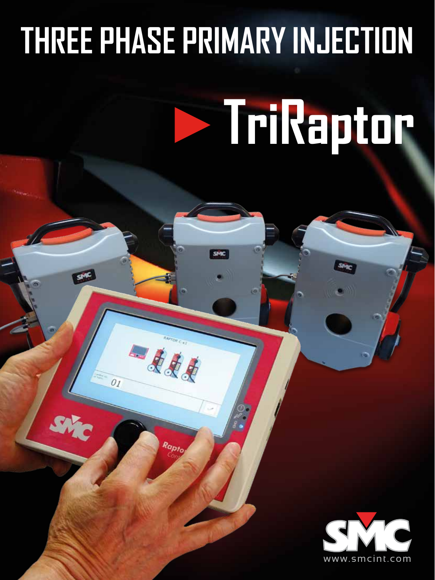# **THREE PHASE PRIMARY INJECTION**

一点点

Rapta

 $O_I$ 

# **TriRaptor**

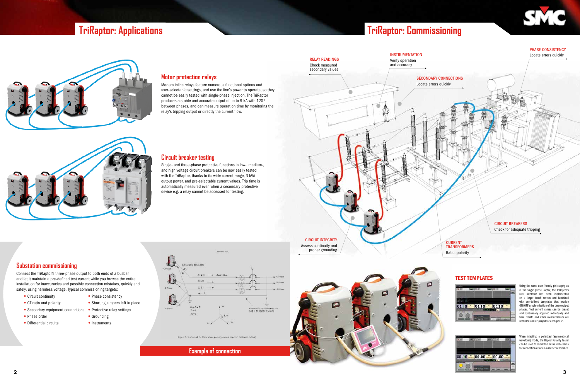



## **TriRaptor: Applications TriRaptor: Commissioning**



**Substation commissioning**

Connect the TriRaptor's three-phase output to both ends of a busbar and let it maintain a pre-defined test current while you browse the entire installation for inaccuracies and possible connection mistakes, quickly and safely, using harmless voltage. Typical commissioning targets:

- 
- 
- Secondary equipment connections Protective relay settings
- Phase order Grounding
- Differential circuits Instruments
- Circuit continuity Phase consistency
- CT ratio and polarity Shorting jumpers left in place
	-
	-
	-



Figure 2: Text capacities there deave primary current intertion (balance

#### **Circuit breaker testing**

Single- and three-phase protective functions in low-, medium-, and high voltage circuit breakers can be now easily tested with the TriRaptor, thanks to its wide current range, 3 kVA output power, and pre-selectable current values. Trip time is automatically measured even when a secondary protective device e.g. a relay cannot be accessed for testing.

#### **Motor protection relays**

When injecting in polarized (asymmetrical waveform) mode, the Raptor Polarity Tester can be used to check the entire installation for connection errors in a matter of minutes.



Modern inline relays feature numerous functional options and user-selectable settings, and use the line's power to operate, so they cannot be easily tested with single-phase injection. The TriRaptor produces a stable and accurate output of up to 9 kA with 120º between phases, and can measure operation time by monitoring the relay's tripping output or directly the current flow.

**Example of connection**

#### SECONDARY CONNECTIONS



#### PHASE CONSISTENCY Locate errors quickly

CURRENT **TRANSFORMERS** Ratio, polarity

#### CIRCUIT BREAKERS Check for adequate tripping



#### TEST TEMPLATES